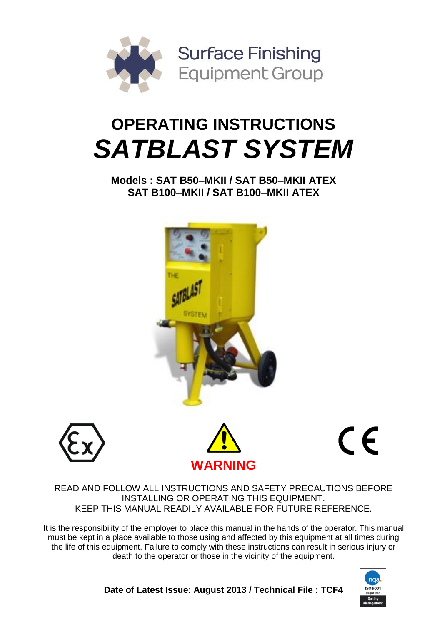

# **OPERATING INSTRUCTIONS** *SATBLAST SYSTEM*

**Models : SAT B50–MKII / SAT B50–MKII ATEX SAT B100–MKII / SAT B100–MKII ATEX**







 $C \in$ 

### READ AND FOLLOW ALL INSTRUCTIONS AND SAFETY PRECAUTIONS BEFORE INSTALLING OR OPERATING THIS EQUIPMENT. KEEP THIS MANUAL READILY AVAILABLE FOR FUTURE REFERENCE.

It is the responsibility of the employer to place this manual in the hands of the operator. This manual must be kept in a place available to those using and affected by this equipment at all times during the life of this equipment. Failure to comply with these instructions can result in serious injury or death to the operator or those in the vicinity of the equipment.



**Date of Latest Issue: August 2013 / Technical File : TCF4**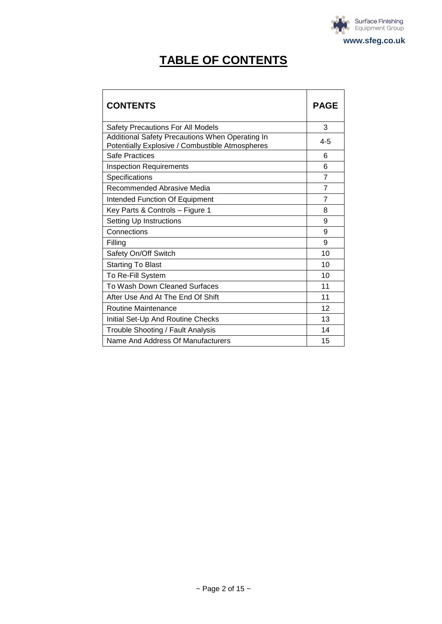

# **TABLE OF CONTENTS**

| <b>CONTENTS</b>                                                                                    | <b>PAGE</b>    |
|----------------------------------------------------------------------------------------------------|----------------|
| <b>Safety Precautions For All Models</b>                                                           | 3              |
| Additional Safety Precautions When Operating In<br>Potentially Explosive / Combustible Atmospheres | $4 - 5$        |
| Safe Practices                                                                                     | 6              |
| <b>Inspection Requirements</b>                                                                     | 6              |
| Specifications                                                                                     | $\overline{7}$ |
| Recommended Abrasive Media                                                                         | 7              |
| Intended Function Of Equipment                                                                     | $\overline{7}$ |
| Key Parts & Controls - Figure 1                                                                    | 8              |
| Setting Up Instructions                                                                            | 9              |
| Connections                                                                                        | 9              |
| Filling                                                                                            | 9              |
| Safety On/Off Switch                                                                               | 10             |
| <b>Starting To Blast</b>                                                                           | 10             |
| To Re-Fill System                                                                                  | 10             |
| To Wash Down Cleaned Surfaces                                                                      | 11             |
| After Use And At The End Of Shift                                                                  | 11             |
| Routine Maintenance                                                                                | 12             |
| Initial Set-Up And Routine Checks                                                                  | 13             |
| Trouble Shooting / Fault Analysis                                                                  | 14             |
| Name And Address Of Manufacturers                                                                  | 15             |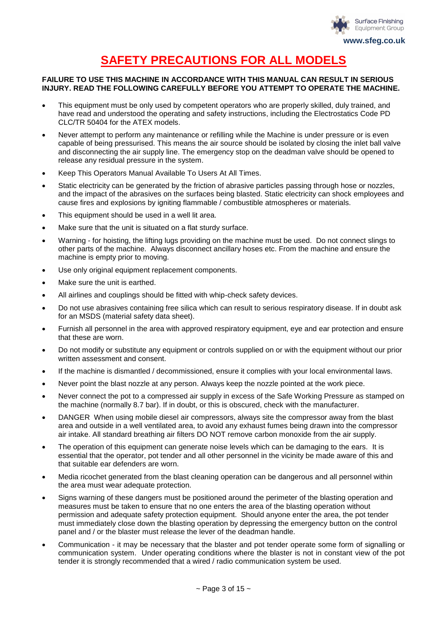

# **SAFETY PRECAUTIONS FOR ALL MODELS**

#### **FAILURE TO USE THIS MACHINE IN ACCORDANCE WITH THIS MANUAL CAN RESULT IN SERIOUS INJURY. READ THE FOLLOWING CAREFULLY BEFORE YOU ATTEMPT TO OPERATE THE MACHINE.**

- This equipment must be only used by competent operators who are properly skilled, duly trained, and have read and understood the operating and safety instructions, including the Electrostatics Code PD CLC/TR 50404 for the ATEX models.
- Never attempt to perform any maintenance or refilling while the Machine is under pressure or is even capable of being pressurised. This means the air source should be isolated by closing the inlet ball valve and disconnecting the air supply line. The emergency stop on the deadman valve should be opened to release any residual pressure in the system.
- Keep This Operators Manual Available To Users At All Times.
- Static electricity can be generated by the friction of abrasive particles passing through hose or nozzles, and the impact of the abrasives on the surfaces being blasted. Static electricity can shock employees and cause fires and explosions by igniting flammable / combustible atmospheres or materials.
- This equipment should be used in a well lit area.
- Make sure that the unit is situated on a flat sturdy surface.
- Warning for hoisting, the lifting lugs providing on the machine must be used. Do not connect slings to other parts of the machine. Always disconnect ancillary hoses etc. From the machine and ensure the machine is empty prior to moving.
- Use only original equipment replacement components.
- Make sure the unit is earthed.
- All airlines and couplings should be fitted with whip-check safety devices.
- Do not use abrasives containing free silica which can result to serious respiratory disease. If in doubt ask for an MSDS (material safety data sheet).
- Furnish all personnel in the area with approved respiratory equipment, eye and ear protection and ensure that these are worn.
- Do not modify or substitute any equipment or controls supplied on or with the equipment without our prior written assessment and consent.
- If the machine is dismantled / decommissioned, ensure it complies with your local environmental laws.
- Never point the blast nozzle at any person. Always keep the nozzle pointed at the work piece.
- Never connect the pot to a compressed air supply in excess of the Safe Working Pressure as stamped on the machine (normally 8.7 bar). If in doubt, or this is obscured, check with the manufacturer.
- DANGER When using mobile diesel air compressors, always site the compressor away from the blast area and outside in a well ventilated area, to avoid any exhaust fumes being drawn into the compressor air intake. All standard breathing air filters DO NOT remove carbon monoxide from the air supply.
- The operation of this equipment can generate noise levels which can be damaging to the ears. It is essential that the operator, pot tender and all other personnel in the vicinity be made aware of this and that suitable ear defenders are worn.
- Media ricochet generated from the blast cleaning operation can be dangerous and all personnel within the area must wear adequate protection.
- Signs warning of these dangers must be positioned around the perimeter of the blasting operation and measures must be taken to ensure that no one enters the area of the blasting operation without permission and adequate safety protection equipment. Should anyone enter the area, the pot tender must immediately close down the blasting operation by depressing the emergency button on the control panel and / or the blaster must release the lever of the deadman handle.
- Communication it may be necessary that the blaster and pot tender operate some form of signalling or communication system. Under operating conditions where the blaster is not in constant view of the pot tender it is strongly recommended that a wired / radio communication system be used.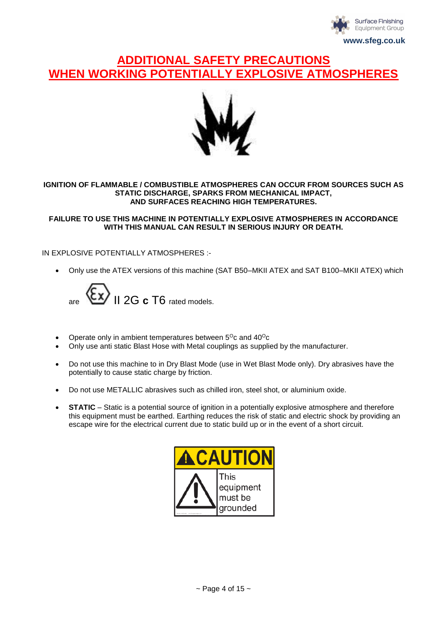

### **ADDITIONAL SAFETY PRECAUTIONS WHEN WORKING POTENTIALLY EXPL**



#### **IGNITION OF FLAMMABLE / COMBUSTIBLE ATMOSPHERES CAN OCCUR FROM SOURCES SUCH AS STATIC DISCHARGE, SPARKS FROM MECHANICAL IMPACT, AND SURFACES REACHING HIGH TEMPERATURES.**

**FAILURE TO USE THIS MACHINE IN POTENTIALLY EXPLOSIVE ATMOSPHERES IN ACCORDANCE WITH THIS MANUAL CAN RESULT IN SERIOUS INJURY OR DEATH.**

#### IN EXPLOSIVE POTENTIALLY ATMOSPHERES :-

Only use the ATEX versions of this machine (SAT B50–MKII ATEX and SAT B100–MKII ATEX) which



- Operate only in ambient temperatures between  $5^{\circ}$ c and  $40^{\circ}$ c
- Only use anti static Blast Hose with Metal couplings as supplied by the manufacturer.
- Do not use this machine to in Dry Blast Mode (use in Wet Blast Mode only). Dry abrasives have the potentially to cause static charge by friction.
- Do not use METALLIC abrasives such as chilled iron, steel shot, or aluminium oxide.
- **STATIC** Static is a potential source of ignition in a potentially explosive atmosphere and therefore this equipment must be earthed. Earthing reduces the risk of static and electric shock by providing an escape wire for the electrical current due to static build up or in the event of a short circuit.

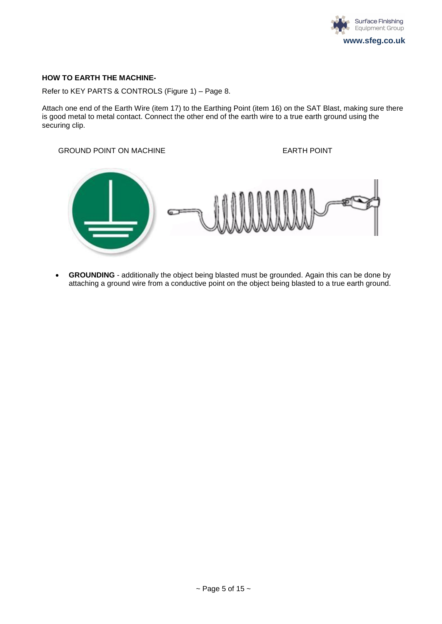

#### **HOW TO EARTH THE MACHINE-**

Refer to KEY PARTS & CONTROLS (Figure 1) – Page 8.

Attach one end of the Earth Wire (item 17) to the Earthing Point (item 16) on the SAT Blast, making sure there is good metal to metal contact. Connect the other end of the earth wire to a true earth ground using the securing clip.

#### GROUND POINT ON MACHINE **EARTH POINT**



 **GROUNDING** - additionally the object being blasted must be grounded. Again this can be done by attaching a ground wire from a conductive point on the object being blasted to a true earth ground.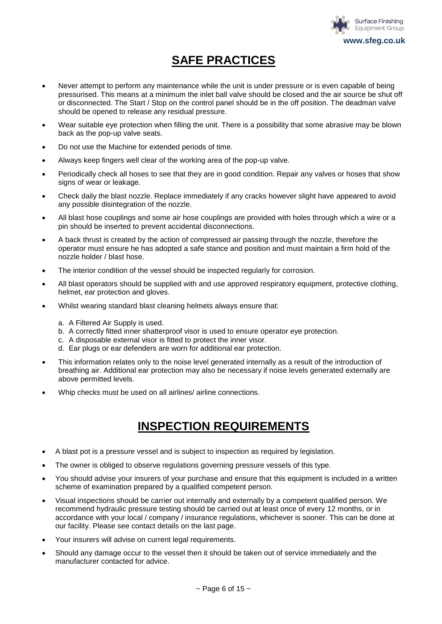

# **SAFE PRACTICES**

- Never attempt to perform any maintenance while the unit is under pressure or is even capable of being pressurised. This means at a minimum the inlet ball valve should be closed and the air source be shut off or disconnected. The Start / Stop on the control panel should be in the off position. The deadman valve should be opened to release any residual pressure.
- Wear suitable eye protection when filling the unit. There is a possibility that some abrasive may be blown back as the pop-up valve seats.
- Do not use the Machine for extended periods of time.
- Always keep fingers well clear of the working area of the pop-up valve.
- Periodically check all hoses to see that they are in good condition. Repair any valves or hoses that show signs of wear or leakage.
- Check daily the blast nozzle. Replace immediately if any cracks however slight have appeared to avoid any possible disintegration of the nozzle.
- All blast hose couplings and some air hose couplings are provided with holes through which a wire or a pin should be inserted to prevent accidental disconnections.
- A back thrust is created by the action of compressed air passing through the nozzle, therefore the operator must ensure he has adopted a safe stance and position and must maintain a firm hold of the nozzle holder / blast hose.
- The interior condition of the vessel should be inspected regularly for corrosion.
- All blast operators should be supplied with and use approved respiratory equipment, protective clothing, helmet, ear protection and gloves.
- Whilst wearing standard blast cleaning helmets always ensure that:
	- a. A Filtered Air Supply is used.
	- b. A correctly fitted inner shatterproof visor is used to ensure operator eye protection.
	- c. A disposable external visor is fitted to protect the inner visor.
	- d. Ear plugs or ear defenders are worn for additional ear protection.
- This information relates only to the noise level generated internally as a result of the introduction of breathing air. Additional ear protection may also be necessary if noise levels generated externally are above permitted levels.
- Whip checks must be used on all airlines/ airline connections.

### **INSPECTION REQUIREMENTS**

- A blast pot is a pressure vessel and is subject to inspection as required by legislation.
- The owner is obliged to observe regulations governing pressure vessels of this type.
- You should advise your insurers of your purchase and ensure that this equipment is included in a written scheme of examination prepared by a qualified competent person.
- Visual inspections should be carrier out internally and externally by a competent qualified person. We recommend hydraulic pressure testing should be carried out at least once of every 12 months, or in accordance with your local / company / insurance regulations, whichever is sooner. This can be done at our facility. Please see contact details on the last page.
- Your insurers will advise on current legal requirements.
- Should any damage occur to the vessel then it should be taken out of service immediately and the manufacturer contacted for advice.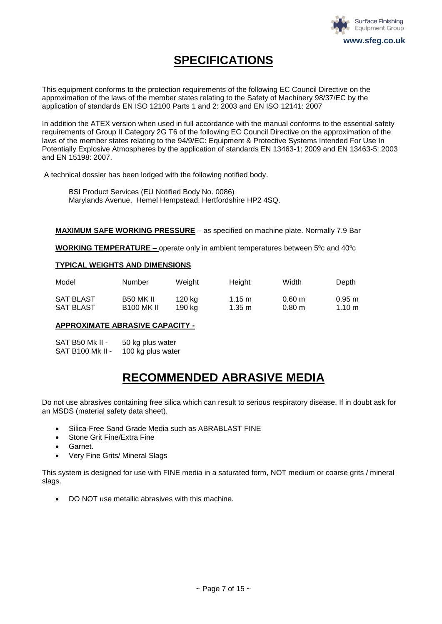

# **SPECIFICATIONS**

This equipment conforms to the protection requirements of the following EC Council Directive on the approximation of the laws of the member states relating to the Safety of Machinery 98/37/EC by the application of standards EN ISO 12100 Parts 1 and 2: 2003 and EN ISO 12141: 2007

In addition the ATEX version when used in full accordance with the manual conforms to the essential safety requirements of Group II Category 2G T6 of the following EC Council Directive on the approximation of the laws of the member states relating to the 94/9/EC: Equipment & Protective Systems Intended For Use In Potentially Explosive Atmospheres by the application of standards EN 13463-1: 2009 and EN 13463-5: 2003 and EN 15198: 2007.

A technical dossier has been lodged with the following notified body.

BSI Product Services (EU Notified Body No. 0086) Marylands Avenue, Hemel Hempstead, Hertfordshire HP2 4SQ.

**MAXIMUM SAFE WORKING PRESSURE** – as specified on machine plate. Normally 7.9 Bar

**WORKING TEMPERATURE –** operate only in ambient temperatures between 5°c and 40°c

#### **TYPICAL WEIGHTS AND DIMENSIONS**

| Model            | Number            | Weight | Height             | Width                | Depth            |
|------------------|-------------------|--------|--------------------|----------------------|------------------|
| <b>SAT BLAST</b> | <b>B50 MK II</b>  | 120 kg | 1.15 m             | $0.60 \;{\rm m}$     | $0.95 \text{ m}$ |
| <b>SAT BLAST</b> | <b>B100 MK II</b> | 190 ka | $1.35 \; \text{m}$ | $0.80 \; \mathrm{m}$ | 1.10 m           |

#### **APPROXIMATE ABRASIVE CAPACITY -**

SAT B50 Mk II - 50 kg plus water SAT B100 Mk II - 100 kg plus water

### **RECOMMENDED ABRASIVE MEDIA**

Do not use abrasives containing free silica which can result to serious respiratory disease. If in doubt ask for an MSDS (material safety data sheet).

- Silica-Free Sand Grade Media such as ABRABLAST FINE
- Stone Grit Fine/Extra Fine
- Garnet.
- Very Fine Grits/ Mineral Slags

This system is designed for use with FINE media in a saturated form, NOT medium or coarse grits / mineral slags.

DO NOT use metallic abrasives with this machine.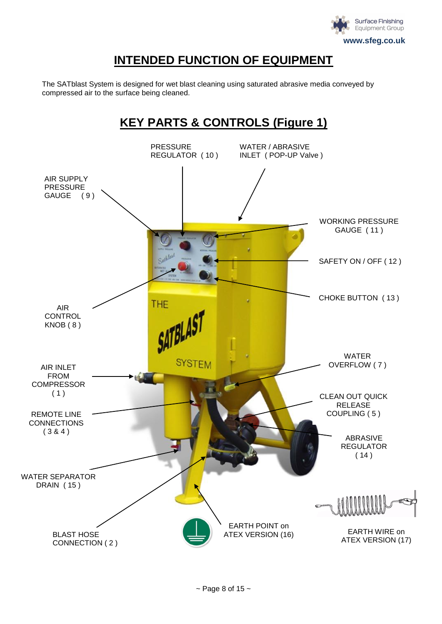

# **INTENDED FUNCTION OF EQUIPMENT**

The SATblast System is designed for wet blast cleaning using saturated abrasive media conveyed by compressed air to the surface being cleaned.

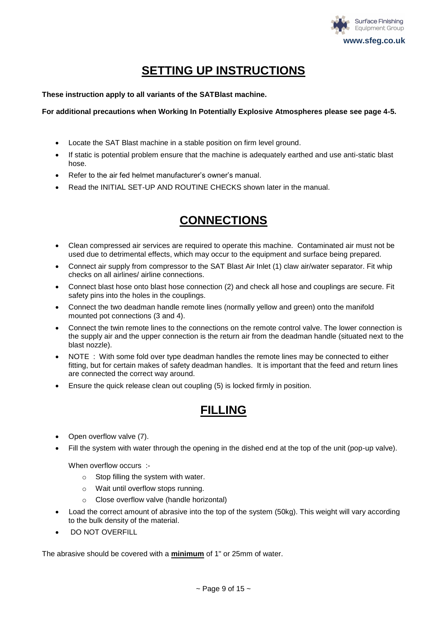

# **SETTING UP INSTRUCTIONS**

**These instruction apply to all variants of the SATBlast machine.**

#### **For additional precautions when Working In Potentially Explosive Atmospheres please see page 4-5.**

- Locate the SAT Blast machine in a stable position on firm level ground.
- If static is potential problem ensure that the machine is adequately earthed and use anti-static blast hose.
- Refer to the air fed helmet manufacturer's owner's manual.
- Read the INITIAL SET-UP AND ROUTINE CHECKS shown later in the manual.

# **CONNECTIONS**

- Clean compressed air services are required to operate this machine. Contaminated air must not be used due to detrimental effects, which may occur to the equipment and surface being prepared.
- Connect air supply from compressor to the SAT Blast Air Inlet (1) claw air/water separator. Fit whip checks on all airlines/ airline connections.
- Connect blast hose onto blast hose connection (2) and check all hose and couplings are secure. Fit safety pins into the holes in the couplings.
- Connect the two deadman handle remote lines (normally yellow and green) onto the manifold mounted pot connections (3 and 4).
- Connect the twin remote lines to the connections on the remote control valve. The lower connection is the supply air and the upper connection is the return air from the deadman handle (situated next to the blast nozzle).
- NOTE : With some fold over type deadman handles the remote lines may be connected to either fitting, but for certain makes of safety deadman handles. It is important that the feed and return lines are connected the correct way around.
- Ensure the quick release clean out coupling (5) is locked firmly in position.

### **FILLING**

- Open overflow valve (7).
- Fill the system with water through the opening in the dished end at the top of the unit (pop-up valve).

When overflow occurs :-

- o Stop filling the system with water.
- o Wait until overflow stops running.
- o Close overflow valve (handle horizontal)
- Load the correct amount of abrasive into the top of the system (50kg). This weight will vary according to the bulk density of the material.
- DO NOT OVERFILL

The abrasive should be covered with a **minimum** of 1" or 25mm of water.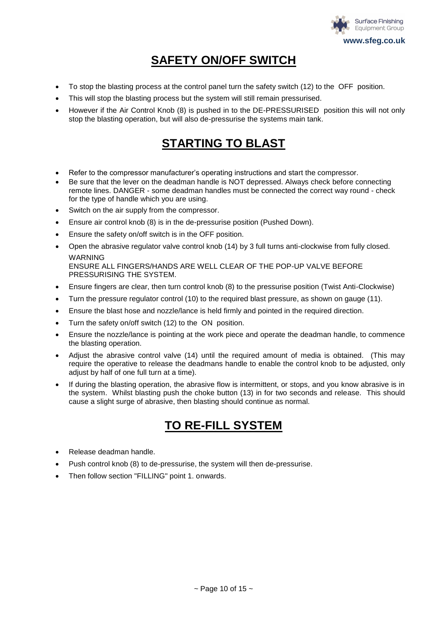

# **SAFETY ON/OFF SWITCH**

- To stop the blasting process at the control panel turn the safety switch (12) to the OFF position.
- This will stop the blasting process but the system will still remain pressurised.
- However if the Air Control Knob (8) is pushed in to the DE-PRESSURISED position this will not only stop the blasting operation, but will also de-pressurise the systems main tank.

# **STARTING TO BLAST**

- Refer to the compressor manufacturer's operating instructions and start the compressor.
- Be sure that the lever on the deadman handle is NOT depressed. Always check before connecting remote lines. DANGER - some deadman handles must be connected the correct way round - check for the type of handle which you are using.
- Switch on the air supply from the compressor.
- Ensure air control knob (8) is in the de-pressurise position (Pushed Down).
- Ensure the safety on/off switch is in the OFF position.
- Open the abrasive regulator valve control knob (14) by 3 full turns anti-clockwise from fully closed. **WARNING**

ENSURE ALL FINGERS/HANDS ARE WELL CLEAR OF THE POP-UP VALVE BEFORE PRESSURISING THE SYSTEM.

- Ensure fingers are clear, then turn control knob (8) to the pressurise position (Twist Anti-Clockwise)
- Turn the pressure regulator control (10) to the required blast pressure, as shown on gauge (11).
- Ensure the blast hose and nozzle/lance is held firmly and pointed in the required direction.
- Turn the safety on/off switch (12) to the ON position.
- Ensure the nozzle/lance is pointing at the work piece and operate the deadman handle, to commence the blasting operation.
- Adjust the abrasive control valve (14) until the required amount of media is obtained. (This may require the operative to release the deadmans handle to enable the control knob to be adjusted, only adjust by half of one full turn at a time).
- If during the blasting operation, the abrasive flow is intermittent, or stops, and you know abrasive is in the system. Whilst blasting push the choke button (13) in for two seconds and release. This should cause a slight surge of abrasive, then blasting should continue as normal.

### **TO RE-FILL SYSTEM**

- Release deadman handle.
- Push control knob (8) to de-pressurise, the system will then de-pressurise.
- Then follow section "FILLING" point 1. onwards.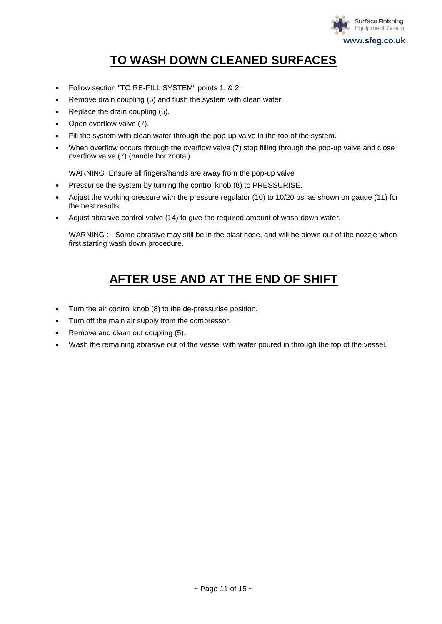

# **TO WASH DOWN CLEANED SURFACES**

- Follow section "TO RE-FILL SYSTEM" points 1. & 2.
- Remove drain coupling (5) and flush the system with clean water.
- Replace the drain coupling (5).
- Open overflow valve (7).
- Fill the system with clean water through the pop-up valve in the top of the system.
- When overflow occurs through the overflow valve (7) stop filling through the pop-up valve and close overflow valve (7) (handle horizontal).

WARNING Ensure all fingers/hands are away from the pop-up valve

- Pressurise the system by turning the control knob (8) to PRESSURISE.
- Adjust the working pressure with the pressure regulator (10) to 10/20 psi as shown on gauge (11) for the best results.
- Adjust abrasive control valve (14) to give the required amount of wash down water.

WARNING :- Some abrasive may still be in the blast hose, and will be blown out of the nozzle when first starting wash down procedure.

# **AFTER USE AND AT THE END OF SHIFT**

- Turn the air control knob (8) to the de-pressurise position.
- Turn off the main air supply from the compressor.
- Remove and clean out coupling (5).
- Wash the remaining abrasive out of the vessel with water poured in through the top of the vessel.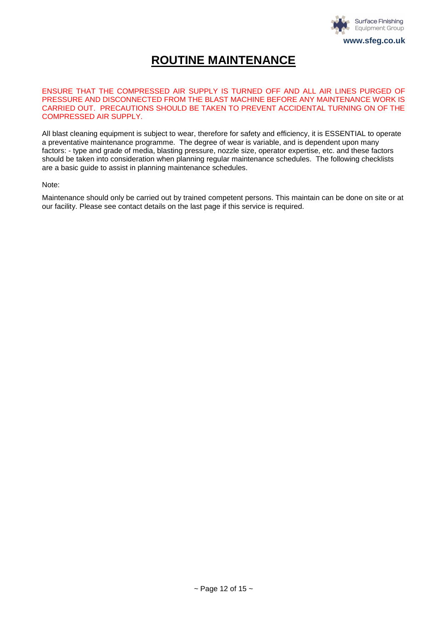

### **ROUTINE MAINTENANCE**

ENSURE THAT THE COMPRESSED AIR SUPPLY IS TURNED OFF AND ALL AIR LINES PURGED OF PRESSURE AND DISCONNECTED FROM THE BLAST MACHINE BEFORE ANY MAINTENANCE WORK IS CARRIED OUT. PRECAUTIONS SHOULD BE TAKEN TO PREVENT ACCIDENTAL TURNING ON OF THE COMPRESSED AIR SUPPLY.

All blast cleaning equipment is subject to wear, therefore for safety and efficiency, it is ESSENTIAL to operate a preventative maintenance programme. The degree of wear is variable, and is dependent upon many factors: - type and grade of media, blasting pressure, nozzle size, operator expertise, etc. and these factors should be taken into consideration when planning regular maintenance schedules. The following checklists are a basic guide to assist in planning maintenance schedules.

Note:

Maintenance should only be carried out by trained competent persons. This maintain can be done on site or at our facility. Please see contact details on the last page if this service is required.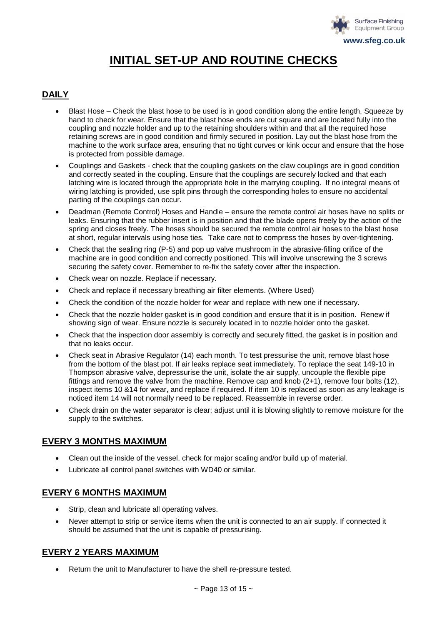

# **INITIAL SET-UP AND ROUTINE CHECKS**

### **DAILY**

- Blast Hose Check the blast hose to be used is in good condition along the entire length. Squeeze by hand to check for wear. Ensure that the blast hose ends are cut square and are located fully into the coupling and nozzle holder and up to the retaining shoulders within and that all the required hose retaining screws are in good condition and firmly secured in position. Lay out the blast hose from the machine to the work surface area, ensuring that no tight curves or kink occur and ensure that the hose is protected from possible damage.
- Couplings and Gaskets check that the coupling gaskets on the claw couplings are in good condition and correctly seated in the coupling. Ensure that the couplings are securely locked and that each latching wire is located through the appropriate hole in the marrying coupling. If no integral means of wiring latching is provided, use split pins through the corresponding holes to ensure no accidental parting of the couplings can occur.
- Deadman (Remote Control) Hoses and Handle ensure the remote control air hoses have no splits or leaks. Ensuring that the rubber insert is in position and that the blade opens freely by the action of the spring and closes freely. The hoses should be secured the remote control air hoses to the blast hose at short, regular intervals using hose ties. Take care not to compress the hoses by over-tightening.
- Check that the sealing ring (P-5) and pop up valve mushroom in the abrasive-filling orifice of the machine are in good condition and correctly positioned. This will involve unscrewing the 3 screws securing the safety cover. Remember to re-fix the safety cover after the inspection.
- Check wear on nozzle. Replace if necessary.
- Check and replace if necessary breathing air filter elements. (Where Used)
- Check the condition of the nozzle holder for wear and replace with new one if necessary.
- Check that the nozzle holder gasket is in good condition and ensure that it is in position. Renew if showing sign of wear. Ensure nozzle is securely located in to nozzle holder onto the gasket.
- Check that the inspection door assembly is correctly and securely fitted, the gasket is in position and that no leaks occur.
- Check seat in Abrasive Regulator (14) each month. To test pressurise the unit, remove blast hose from the bottom of the blast pot. If air leaks replace seat immediately. To replace the seat 149-10 in Thompson abrasive valve, depressurise the unit, isolate the air supply, uncouple the flexible pipe fittings and remove the valve from the machine. Remove cap and knob (2+1), remove four bolts (12), inspect items 10 &14 for wear, and replace if required. If item 10 is replaced as soon as any leakage is noticed item 14 will not normally need to be replaced. Reassemble in reverse order.
- Check drain on the water separator is clear; adjust until it is blowing slightly to remove moisture for the supply to the switches.

### **EVERY 3 MONTHS MAXIMUM**

- Clean out the inside of the vessel, check for major scaling and/or build up of material.
- Lubricate all control panel switches with WD40 or similar.

### **EVERY 6 MONTHS MAXIMUM**

- Strip, clean and lubricate all operating valves.
- Never attempt to strip or service items when the unit is connected to an air supply. If connected it should be assumed that the unit is capable of pressurising.

### **EVERY 2 YEARS MAXIMUM**

Return the unit to Manufacturer to have the shell re-pressure tested.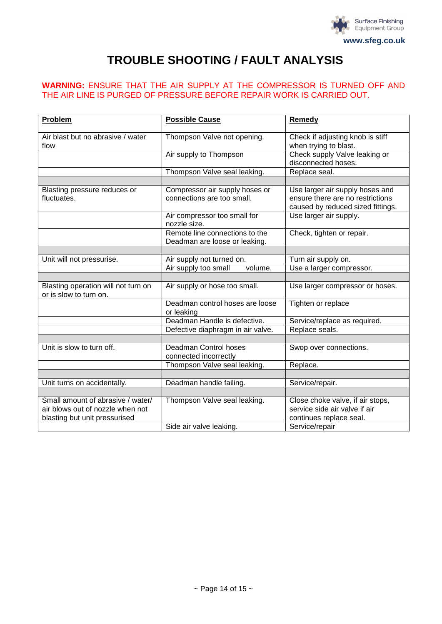

# **TROUBLE SHOOTING / FAULT ANALYSIS**

### **WARNING:** ENSURE THAT THE AIR SUPPLY AT THE COMPRESSOR IS TURNED OFF AND THE AIR LINE IS PURGED OF PRESSURE BEFORE REPAIR WORK IS CARRIED OUT.

| Problem                                                       | <b>Possible Cause</b>                                           | <b>Remedy</b>                                                                                            |
|---------------------------------------------------------------|-----------------------------------------------------------------|----------------------------------------------------------------------------------------------------------|
| Air blast but no abrasive / water<br>flow                     | Thompson Valve not opening.                                     | Check if adjusting knob is stiff<br>when trying to blast.                                                |
|                                                               | Air supply to Thompson                                          | Check supply Valve leaking or<br>disconnected hoses.                                                     |
|                                                               | Thompson Valve seal leaking.                                    | Replace seal.                                                                                            |
|                                                               |                                                                 |                                                                                                          |
| Blasting pressure reduces or<br>fluctuates.                   | Compressor air supply hoses or<br>connections are too small.    | Use larger air supply hoses and<br>ensure there are no restrictions<br>caused by reduced sized fittings. |
|                                                               | Air compressor too small for<br>nozzle size.                    | Use larger air supply.                                                                                   |
|                                                               | Remote line connections to the<br>Deadman are loose or leaking. | Check, tighten or repair.                                                                                |
|                                                               |                                                                 |                                                                                                          |
| Unit will not pressurise.                                     | Air supply not turned on.                                       | Turn air supply on.                                                                                      |
|                                                               | Air supply too small<br>volume.                                 | Use a larger compressor.                                                                                 |
|                                                               |                                                                 |                                                                                                          |
| Blasting operation will not turn on<br>or is slow to turn on. | Air supply or hose too small.                                   | Use larger compressor or hoses.                                                                          |
|                                                               | Deadman control hoses are loose<br>or leaking                   | Tighten or replace                                                                                       |
|                                                               | Deadman Handle is defective.                                    | Service/replace as required.                                                                             |
|                                                               | Defective diaphragm in air valve.                               | Replace seals.                                                                                           |
|                                                               |                                                                 |                                                                                                          |
| Unit is slow to turn off.                                     | Deadman Control hoses<br>connected incorrectly                  | Swop over connections.                                                                                   |
|                                                               | Thompson Valve seal leaking.                                    | Replace.                                                                                                 |
|                                                               |                                                                 |                                                                                                          |
| Unit turns on accidentally.                                   | Deadman handle failing.                                         | Service/repair.                                                                                          |
|                                                               |                                                                 |                                                                                                          |
| Small amount of abrasive / water/                             | Thompson Valve seal leaking.                                    | Close choke valve, if air stops,                                                                         |
| air blows out of nozzle when not                              |                                                                 | service side air valve if air                                                                            |
| blasting but unit pressurised                                 |                                                                 | continues replace seal.                                                                                  |
|                                                               | Side air valve leaking.                                         | Service/repair                                                                                           |